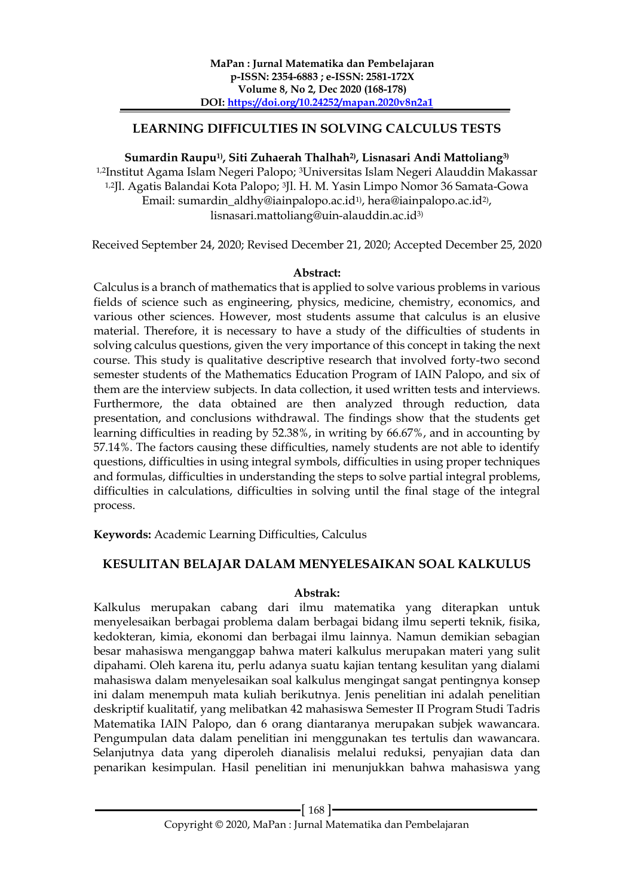## **LEARNING DIFFICULTIES IN SOLVING CALCULUS TESTS**

## **Sumardin Raupu1) , Siti Zuhaerah Thalhah2), Lisnasari Andi Mattoliang3)**

1,2Institut Agama Islam Negeri Palopo; 3Universitas Islam Negeri Alauddin Makassar 1,2Jl. Agatis Balandai Kota Palopo; 3Jl. H. M. Yasin Limpo Nomor 36 Samata-Gowa Email: sumardin\_aldhy@iainpalopo.ac.id½), hera@iainpalopo.ac.id2), lisnasari.mattoliang@uin-alauddin.ac.id3)

Received September 24, 2020; Revised December 21, 2020; Accepted December 25, 2020

### **Abstract:**

Calculus is a branch of mathematics that is applied to solve various problems in various fields of science such as engineering, physics, medicine, chemistry, economics, and various other sciences. However, most students assume that calculus is an elusive material. Therefore, it is necessary to have a study of the difficulties of students in solving calculus questions, given the very importance of this concept in taking the next course. This study is qualitative descriptive research that involved forty-two second semester students of the Mathematics Education Program of IAIN Palopo, and six of them are the interview subjects. In data collection, it used written tests and interviews. Furthermore, the data obtained are then analyzed through reduction, data presentation, and conclusions withdrawal. The findings show that the students get learning difficulties in reading by 52.38%, in writing by 66.67%, and in accounting by 57.14%. The factors causing these difficulties, namely students are not able to identify questions, difficulties in using integral symbols, difficulties in using proper techniques and formulas, difficulties in understanding the steps to solve partial integral problems, difficulties in calculations, difficulties in solving until the final stage of the integral process.

**Keywords:** Academic Learning Difficulties, Calculus

## **KESULITAN BELAJAR DALAM MENYELESAIKAN SOAL KALKULUS**

### **Abstrak:**

Kalkulus merupakan cabang dari ilmu matematika yang diterapkan untuk menyelesaikan berbagai problema dalam berbagai bidang ilmu seperti teknik, fisika, kedokteran, kimia, ekonomi dan berbagai ilmu lainnya. Namun demikian sebagian besar mahasiswa menganggap bahwa materi kalkulus merupakan materi yang sulit dipahami. Oleh karena itu, perlu adanya suatu kajian tentang kesulitan yang dialami mahasiswa dalam menyelesaikan soal kalkulus mengingat sangat pentingnya konsep ini dalam menempuh mata kuliah berikutnya. Jenis penelitian ini adalah penelitian deskriptif kualitatif, yang melibatkan 42 mahasiswa Semester II Program Studi Tadris Matematika IAIN Palopo, dan 6 orang diantaranya merupakan subjek wawancara. Pengumpulan data dalam penelitian ini menggunakan tes tertulis dan wawancara. Selanjutnya data yang diperoleh dianalisis melalui reduksi, penyajian data dan penarikan kesimpulan. Hasil penelitian ini menunjukkan bahwa mahasiswa yang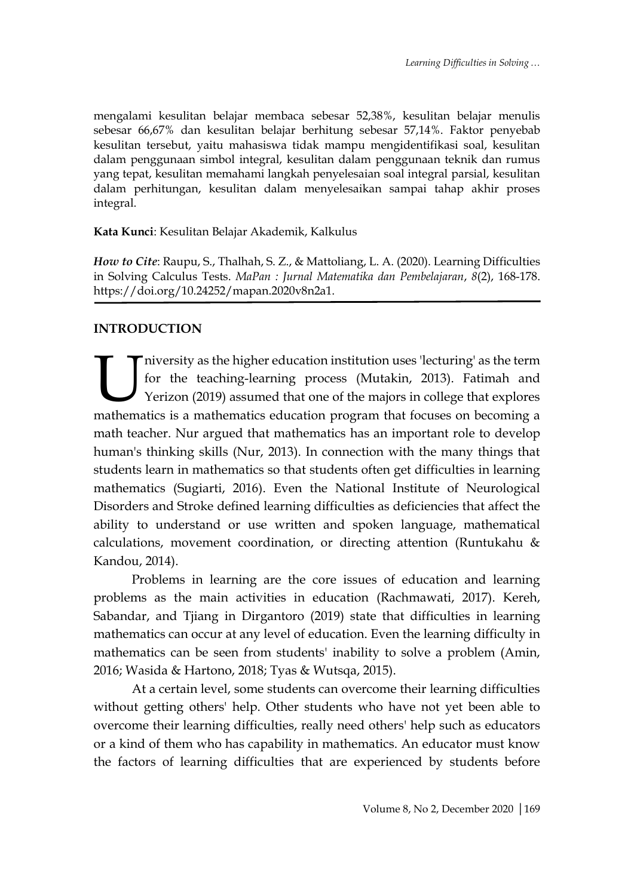mengalami kesulitan belajar membaca sebesar 52,38%, kesulitan belajar menulis sebesar 66,67% dan kesulitan belajar berhitung sebesar 57,14%. Faktor penyebab kesulitan tersebut, yaitu mahasiswa tidak mampu mengidentifikasi soal, kesulitan dalam penggunaan simbol integral, kesulitan dalam penggunaan teknik dan rumus yang tepat, kesulitan memahami langkah penyelesaian soal integral parsial, kesulitan dalam perhitungan, kesulitan dalam menyelesaikan sampai tahap akhir proses integral.

## **Kata Kunci**: Kesulitan Belajar Akademik, Kalkulus

*How to Cite*: Raupu, S., Thalhah, S. Z., & Mattoliang, L. A. (2020). Learning Difficulties in Solving Calculus Tests. *MaPan : Jurnal Matematika dan Pembelajaran*, *8*(2), 168-178. https://doi.org/10.24252/mapan.2020v8n2a1.

# **INTRODUCTION**

niversity as the higher education institution uses 'lecturing' as the term for the teaching-learning process (Mutakin, 2013). Fatimah and Yerizon (2019) assumed that one of the majors in college that explores Iniversity as the higher education institution uses 'lecturing' as the term for the teaching-learning process (Mutakin, 2013). Fatimah and Yerizon (2019) assumed that one of the majors in college that explores mathematics math teacher. Nur argued that mathematics has an important role to develop human's thinking skills (Nur, 2013). In connection with the many things that students learn in mathematics so that students often get difficulties in learning mathematics (Sugiarti, 2016). Even the National Institute of Neurological Disorders and Stroke defined learning difficulties as deficiencies that affect the ability to understand or use written and spoken language, mathematical calculations, movement coordination, or directing attention (Runtukahu & Kandou, 2014).

Problems in learning are the core issues of education and learning problems as the main activities in education (Rachmawati, 2017). Kereh, Sabandar, and Tjiang in Dirgantoro (2019) state that difficulties in learning mathematics can occur at any level of education. Even the learning difficulty in mathematics can be seen from students' inability to solve a problem (Amin, 2016; Wasida & Hartono, 2018; Tyas & Wutsqa, 2015).

At a certain level, some students can overcome their learning difficulties without getting others' help. Other students who have not yet been able to overcome their learning difficulties, really need others' help such as educators or a kind of them who has capability in mathematics. An educator must know the factors of learning difficulties that are experienced by students before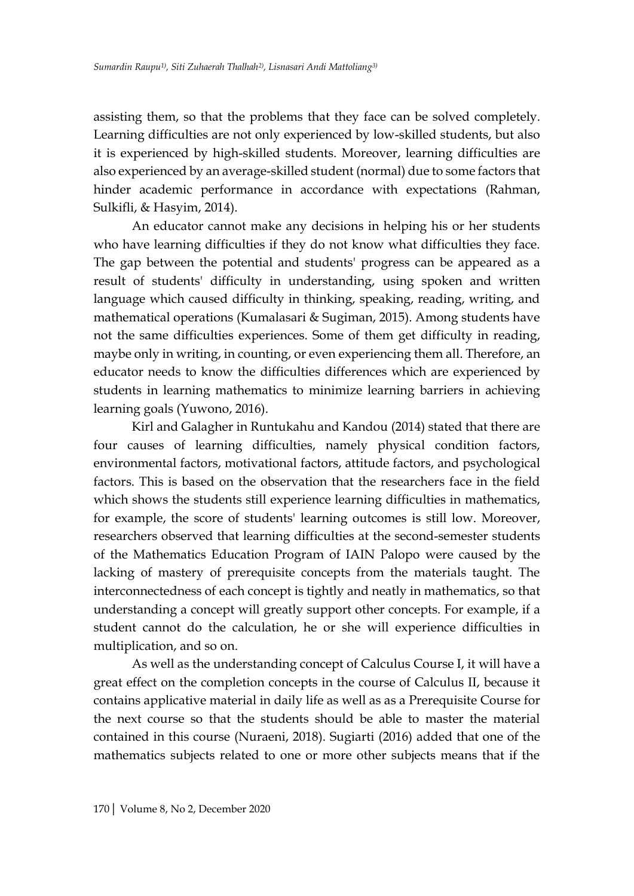assisting them, so that the problems that they face can be solved completely. Learning difficulties are not only experienced by low-skilled students, but also it is experienced by high-skilled students. Moreover, learning difficulties are also experienced by an average-skilled student (normal) due to some factors that hinder academic performance in accordance with expectations (Rahman, Sulkifli, & Hasyim, 2014).

An educator cannot make any decisions in helping his or her students who have learning difficulties if they do not know what difficulties they face. The gap between the potential and students' progress can be appeared as a result of students' difficulty in understanding, using spoken and written language which caused difficulty in thinking, speaking, reading, writing, and mathematical operations (Kumalasari & Sugiman, 2015). Among students have not the same difficulties experiences. Some of them get difficulty in reading, maybe only in writing, in counting, or even experiencing them all. Therefore, an educator needs to know the difficulties differences which are experienced by students in learning mathematics to minimize learning barriers in achieving learning goals (Yuwono, 2016).

Kirl and Galagher in Runtukahu and Kandou (2014) stated that there are four causes of learning difficulties, namely physical condition factors, environmental factors, motivational factors, attitude factors, and psychological factors. This is based on the observation that the researchers face in the field which shows the students still experience learning difficulties in mathematics, for example, the score of students' learning outcomes is still low. Moreover, researchers observed that learning difficulties at the second-semester students of the Mathematics Education Program of IAIN Palopo were caused by the lacking of mastery of prerequisite concepts from the materials taught. The interconnectedness of each concept is tightly and neatly in mathematics, so that understanding a concept will greatly support other concepts. For example, if a student cannot do the calculation, he or she will experience difficulties in multiplication, and so on.

As well as the understanding concept of Calculus Course I, it will have a great effect on the completion concepts in the course of Calculus II, because it contains applicative material in daily life as well as as a Prerequisite Course for the next course so that the students should be able to master the material contained in this course (Nuraeni, 2018). Sugiarti (2016) added that one of the mathematics subjects related to one or more other subjects means that if the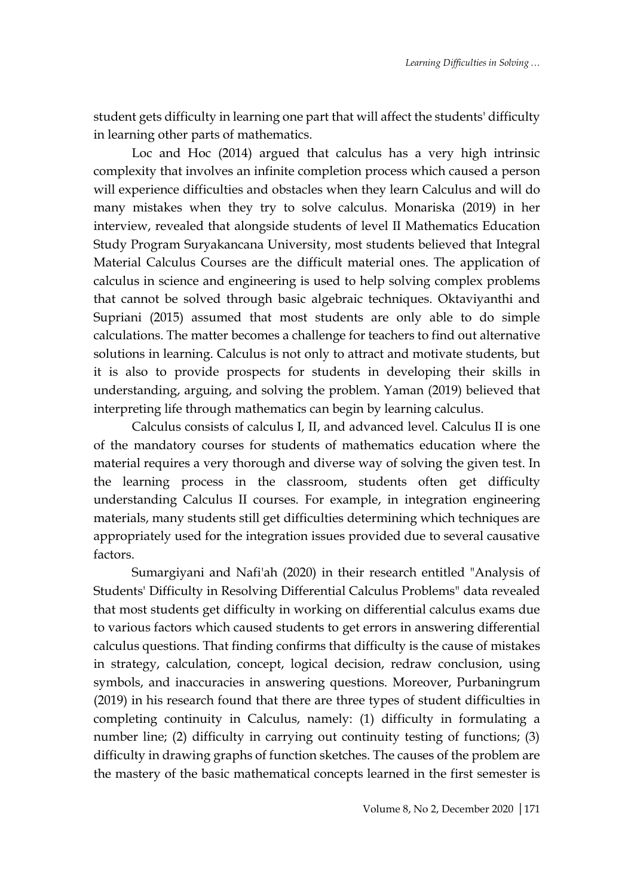student gets difficulty in learning one part that will affect the students' difficulty in learning other parts of mathematics.

Loc and Hoc (2014) argued that calculus has a very high intrinsic complexity that involves an infinite completion process which caused a person will experience difficulties and obstacles when they learn Calculus and will do many mistakes when they try to solve calculus. Monariska (2019) in her interview, revealed that alongside students of level II Mathematics Education Study Program Suryakancana University, most students believed that Integral Material Calculus Courses are the difficult material ones. The application of calculus in science and engineering is used to help solving complex problems that cannot be solved through basic algebraic techniques. Oktaviyanthi and Supriani (2015) assumed that most students are only able to do simple calculations. The matter becomes a challenge for teachers to find out alternative solutions in learning. Calculus is not only to attract and motivate students, but it is also to provide prospects for students in developing their skills in understanding, arguing, and solving the problem. Yaman (2019) believed that interpreting life through mathematics can begin by learning calculus.

Calculus consists of calculus I, II, and advanced level. Calculus II is one of the mandatory courses for students of mathematics education where the material requires a very thorough and diverse way of solving the given test. In the learning process in the classroom, students often get difficulty understanding Calculus II courses. For example, in integration engineering materials, many students still get difficulties determining which techniques are appropriately used for the integration issues provided due to several causative factors.

Sumargiyani and Nafi'ah (2020) in their research entitled "Analysis of Students' Difficulty in Resolving Differential Calculus Problems" data revealed that most students get difficulty in working on differential calculus exams due to various factors which caused students to get errors in answering differential calculus questions. That finding confirms that difficulty is the cause of mistakes in strategy, calculation, concept, logical decision, redraw conclusion, using symbols, and inaccuracies in answering questions. Moreover, Purbaningrum (2019) in his research found that there are three types of student difficulties in completing continuity in Calculus, namely: (1) difficulty in formulating a number line; (2) difficulty in carrying out continuity testing of functions; (3) difficulty in drawing graphs of function sketches. The causes of the problem are the mastery of the basic mathematical concepts learned in the first semester is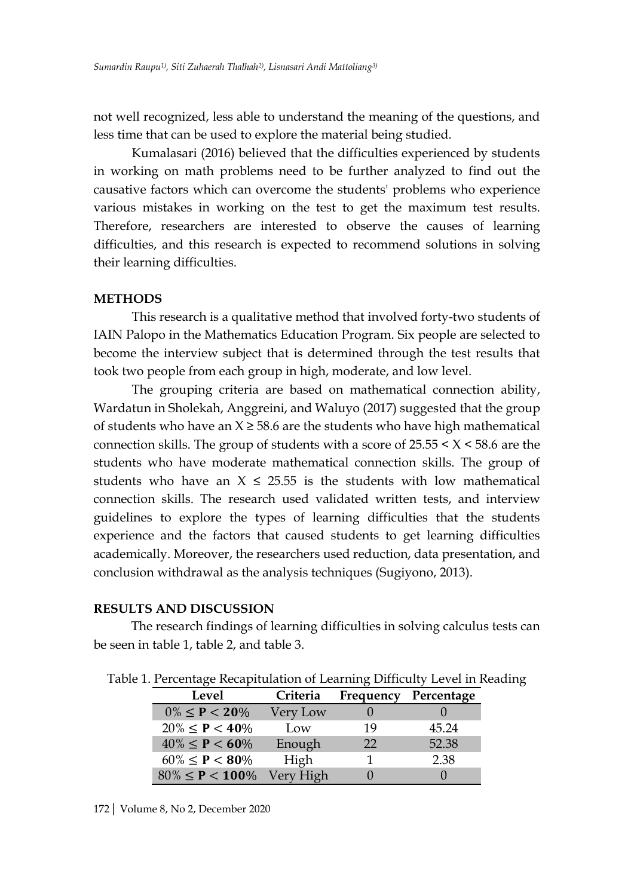not well recognized, less able to understand the meaning of the questions, and less time that can be used to explore the material being studied.

Kumalasari (2016) believed that the difficulties experienced by students in working on math problems need to be further analyzed to find out the causative factors which can overcome the students' problems who experience various mistakes in working on the test to get the maximum test results. Therefore, researchers are interested to observe the causes of learning difficulties, and this research is expected to recommend solutions in solving their learning difficulties.

### **METHODS**

This research is a qualitative method that involved forty-two students of IAIN Palopo in the Mathematics Education Program. Six people are selected to become the interview subject that is determined through the test results that took two people from each group in high, moderate, and low level.

The grouping criteria are based on mathematical connection ability, Wardatun in Sholekah, Anggreini, and Waluyo (2017) suggested that the group of students who have an  $X \ge 58.6$  are the students who have high mathematical connection skills. The group of students with a score of  $25.55 \leq X \leq 58.6$  are the students who have moderate mathematical connection skills. The group of students who have an  $X \le 25.55$  is the students with low mathematical connection skills. The research used validated written tests, and interview guidelines to explore the types of learning difficulties that the students experience and the factors that caused students to get learning difficulties academically. Moreover, the researchers used reduction, data presentation, and conclusion withdrawal as the analysis techniques (Sugiyono, 2013).

### **RESULTS AND DISCUSSION**

The research findings of learning difficulties in solving calculus tests can be seen in table 1, table 2, and table 3.

| Level                   | Criteria  | Frequency | Percentage |
|-------------------------|-----------|-----------|------------|
| $0\% \leq P < 20\%$     | Very Low  |           |            |
| $20\% \leq P < 40\%$    | Low       | 19        | 45.24      |
| $40\% \leq P < 60\%$    | Enough    | 22        | 52.38      |
| $60\% \leq P \leq 80\%$ | High      |           | 2.38       |
| $80\% \leq P < 100\%$   | Very High |           |            |

Table 1. Percentage Recapitulation of Learning Difficulty Level in Reading

172| Volume 8, No 2, December 2020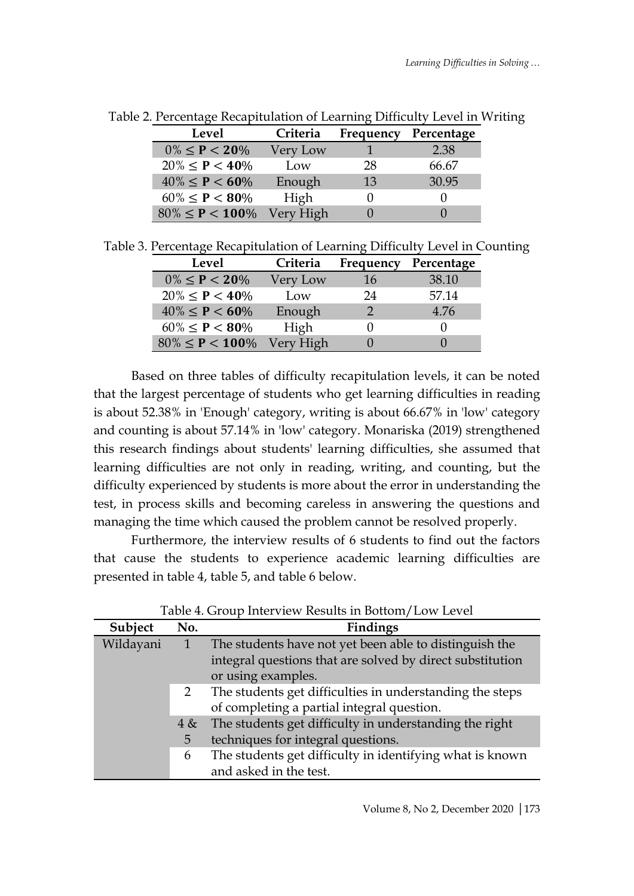| Level                          | Criteria | Frequency | Percentage |
|--------------------------------|----------|-----------|------------|
| $0\% \leq P < 20\%$            | Very Low |           | 2.38       |
| $20\% \leq P < 40\%$           | Low      | 28        | 66.67      |
| $40\% \leq P < 60\%$           | Enough   | 13        | 30.95      |
| $60\% \leq P \leq 80\%$        | High     |           |            |
| $80\% \le P < 100\%$ Very High |          |           |            |

Table 2. Percentage Recapitulation of Learning Difficulty Level in Writing

|  | Table 3. Percentage Recapitulation of Learning Difficulty Level in Counting |  |  |
|--|-----------------------------------------------------------------------------|--|--|
|  |                                                                             |  |  |

| Level                 | Criteria  | Frequency | Percentage |
|-----------------------|-----------|-----------|------------|
| $0\% \leq P < 20\%$   | Very Low  | 16        | 38.10      |
| $20\% \leq P < 40\%$  | Low       | 24        | 57.14      |
| $40\% \leq P < 60\%$  | Enough    |           | 4.76       |
| $60\% \leq P < 80\%$  | High      |           |            |
| $80\% \leq P < 100\%$ | Very High |           |            |

Based on three tables of difficulty recapitulation levels, it can be noted that the largest percentage of students who get learning difficulties in reading is about 52.38% in 'Enough' category, writing is about 66.67% in 'low' category and counting is about 57.14% in 'low' category. Monariska (2019) strengthened this research findings about students' learning difficulties, she assumed that learning difficulties are not only in reading, writing, and counting, but the difficulty experienced by students is more about the error in understanding the test, in process skills and becoming careless in answering the questions and managing the time which caused the problem cannot be resolved properly.

Furthermore, the interview results of 6 students to find out the factors that cause the students to experience academic learning difficulties are presented in table 4, table 5, and table 6 below.

| Table 4. Group Interview Results in Bottom/Low Level |          |                                                                                                                                           |
|------------------------------------------------------|----------|-------------------------------------------------------------------------------------------------------------------------------------------|
| Subject                                              | No.      | Findings                                                                                                                                  |
| Wildayani                                            |          | The students have not yet been able to distinguish the<br>integral questions that are solved by direct substitution<br>or using examples. |
|                                                      | 2        | The students get difficulties in understanding the steps<br>of completing a partial integral question.                                    |
|                                                      | 4 &<br>5 | The students get difficulty in understanding the right<br>techniques for integral questions.                                              |
|                                                      | 6        | The students get difficulty in identifying what is known<br>and asked in the test.                                                        |

 $T<sub>1</sub>1<sub>2</sub>$  4.  $G<sub>2</sub>$  and Interview Results in Bottom/Low Level on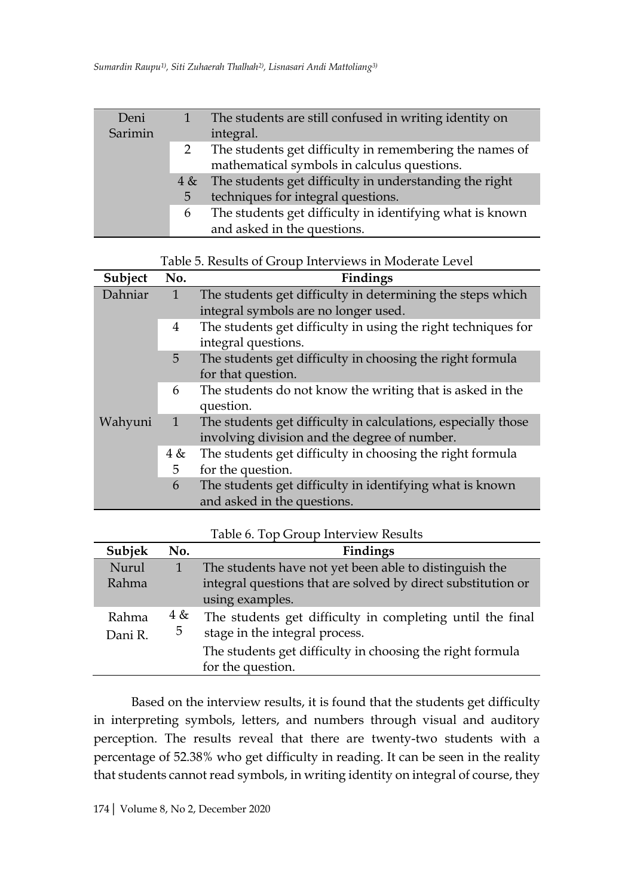| Deni    |   | The students are still confused in writing identity on     |
|---------|---|------------------------------------------------------------|
| Sarimin |   | integral.                                                  |
|         | 2 | The students get difficulty in remembering the names of    |
|         |   | mathematical symbols in calculus questions.                |
|         |   | 4 & The students get difficulty in understanding the right |
|         | 5 | techniques for integral questions.                         |
|         | 6 | The students get difficulty in identifying what is known   |
|         |   | and asked in the questions.                                |

| Table 5. Results of Group Interviews in Moderate Level |  |  |  |
|--------------------------------------------------------|--|--|--|
|                                                        |  |  |  |

| Subject | No.          | Findings                                                                             |
|---------|--------------|--------------------------------------------------------------------------------------|
| Dahniar | 1            | The students get difficulty in determining the steps which                           |
|         |              | integral symbols are no longer used.                                                 |
|         | 4            | The students get difficulty in using the right techniques for<br>integral questions. |
|         | 5            | The students get difficulty in choosing the right formula<br>for that question.      |
|         | 6            | The students do not know the writing that is asked in the<br>question.               |
| Wahyuni | $\mathbf{1}$ | The students get difficulty in calculations, especially those                        |
|         |              | involving division and the degree of number.                                         |
|         | 4 &          | The students get difficulty in choosing the right formula                            |
|         | 5            | for the question.                                                                    |
|         | 6            | The students get difficulty in identifying what is known                             |
|         |              | and asked in the questions.                                                          |

|  | Table 6. Top Group Interview Results |
|--|--------------------------------------|
|  |                                      |

| Subjek  | No. | Findings                                                     |
|---------|-----|--------------------------------------------------------------|
| Nurul   |     | The students have not yet been able to distinguish the       |
| Rahma   |     | integral questions that are solved by direct substitution or |
|         |     | using examples.                                              |
| Rahma   | 4 & | The students get difficulty in completing until the final    |
| Dani R. | 5   | stage in the integral process.                               |
|         |     | The students get difficulty in choosing the right formula    |
|         |     | for the question.                                            |

Based on the interview results, it is found that the students get difficulty in interpreting symbols, letters, and numbers through visual and auditory perception. The results reveal that there are twenty-two students with a percentage of 52.38% who get difficulty in reading. It can be seen in the reality that students cannot read symbols, in writing identity on integral of course, they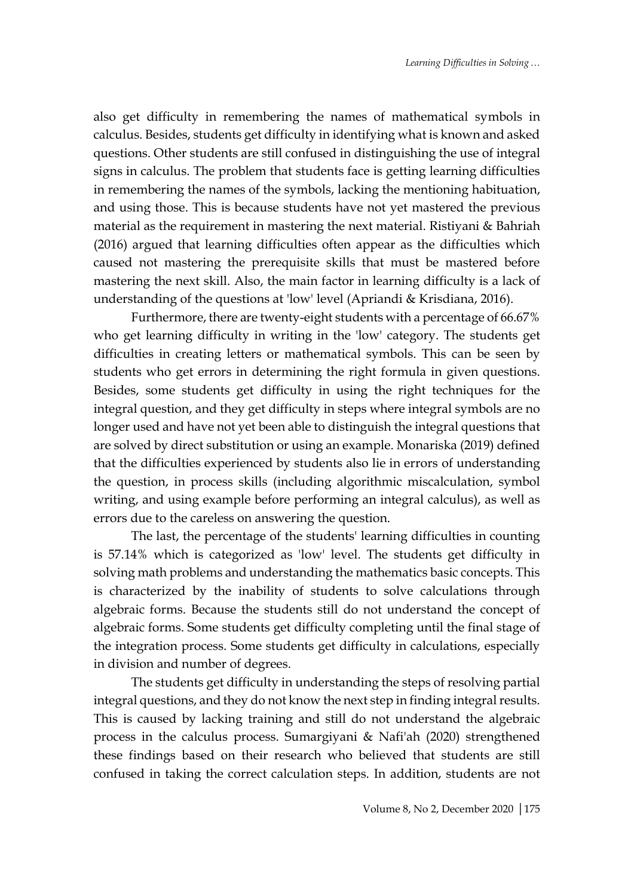also get difficulty in remembering the names of mathematical symbols in calculus. Besides, students get difficulty in identifying what is known and asked questions. Other students are still confused in distinguishing the use of integral signs in calculus. The problem that students face is getting learning difficulties in remembering the names of the symbols, lacking the mentioning habituation, and using those. This is because students have not yet mastered the previous material as the requirement in mastering the next material. Ristiyani & Bahriah (2016) argued that learning difficulties often appear as the difficulties which caused not mastering the prerequisite skills that must be mastered before mastering the next skill. Also, the main factor in learning difficulty is a lack of understanding of the questions at 'low' level (Apriandi & Krisdiana, 2016).

Furthermore, there are twenty-eight students with a percentage of 66.67% who get learning difficulty in writing in the 'low' category. The students get difficulties in creating letters or mathematical symbols. This can be seen by students who get errors in determining the right formula in given questions. Besides, some students get difficulty in using the right techniques for the integral question, and they get difficulty in steps where integral symbols are no longer used and have not yet been able to distinguish the integral questions that are solved by direct substitution or using an example. Monariska (2019) defined that the difficulties experienced by students also lie in errors of understanding the question, in process skills (including algorithmic miscalculation, symbol writing, and using example before performing an integral calculus), as well as errors due to the careless on answering the question.

The last, the percentage of the students' learning difficulties in counting is 57.14% which is categorized as 'low' level. The students get difficulty in solving math problems and understanding the mathematics basic concepts. This is characterized by the inability of students to solve calculations through algebraic forms. Because the students still do not understand the concept of algebraic forms. Some students get difficulty completing until the final stage of the integration process. Some students get difficulty in calculations, especially in division and number of degrees.

The students get difficulty in understanding the steps of resolving partial integral questions, and they do not know the next step in finding integral results. This is caused by lacking training and still do not understand the algebraic process in the calculus process. Sumargiyani & Nafi'ah (2020) strengthened these findings based on their research who believed that students are still confused in taking the correct calculation steps. In addition, students are not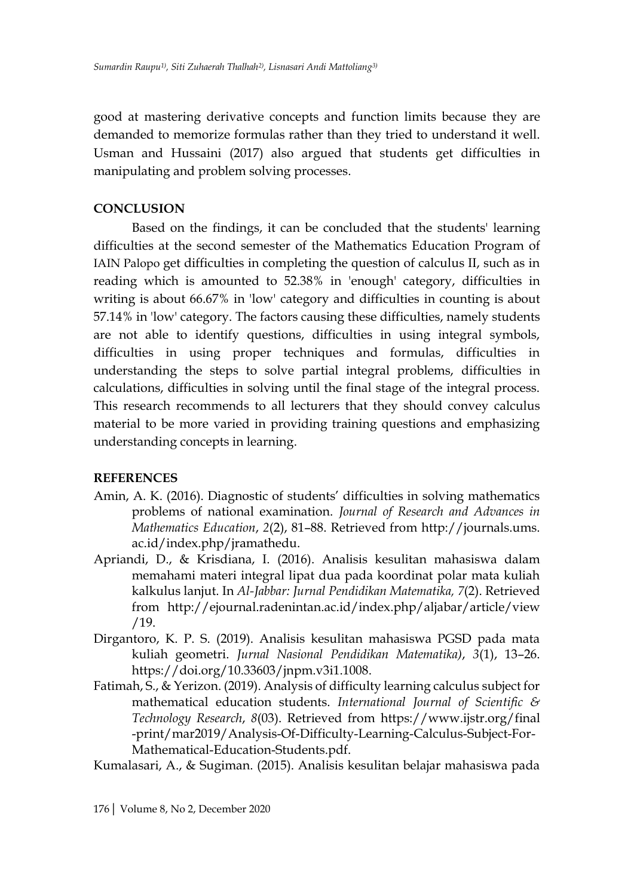good at mastering derivative concepts and function limits because they are demanded to memorize formulas rather than they tried to understand it well. Usman and Hussaini (2017) also argued that students get difficulties in manipulating and problem solving processes.

## **CONCLUSION**

Based on the findings, it can be concluded that the students' learning difficulties at the second semester of the Mathematics Education Program of IAIN Palopo get difficulties in completing the question of calculus II, such as in reading which is amounted to 52.38% in 'enough' category, difficulties in writing is about 66.67% in 'low' category and difficulties in counting is about 57.14% in 'low' category. The factors causing these difficulties, namely students are not able to identify questions, difficulties in using integral symbols, difficulties in using proper techniques and formulas, difficulties in understanding the steps to solve partial integral problems, difficulties in calculations, difficulties in solving until the final stage of the integral process. This research recommends to all lecturers that they should convey calculus material to be more varied in providing training questions and emphasizing understanding concepts in learning.

## **REFERENCES**

- Amin, A. K. (2016). Diagnostic of students' difficulties in solving mathematics problems of national examination. *Journal of Research and Advances in Mathematics Education*, *2*(2), 81–88. Retrieved from http://journals.ums. ac.id/index.php/jramathedu.
- Apriandi, D., & Krisdiana, I. (2016). Analisis kesulitan mahasiswa dalam memahami materi integral lipat dua pada koordinat polar mata kuliah kalkulus lanjut. In *Al-Jabbar: Jurnal Pendidikan Matematika, 7*(2). Retrieved from http://ejournal.radenintan.ac.id/index.php/aljabar/article/view /19.
- Dirgantoro, K. P. S. (2019). Analisis kesulitan mahasiswa PGSD pada mata kuliah geometri. *Jurnal Nasional Pendidikan Matematika)*, *3*(1), 13–26. https://doi.org/10.33603/jnpm.v3i1.1008.
- Fatimah, S., & Yerizon. (2019). Analysis of difficulty learning calculus subject for mathematical education students. *International Journal of Scientific & Technology Research*, *8*(03). Retrieved from https://www.ijstr.org/final -print/mar2019/Analysis-Of-Difficulty-Learning-Calculus-Subject-For-Mathematical-Education-Students.pdf.
- Kumalasari, A., & Sugiman. (2015). Analisis kesulitan belajar mahasiswa pada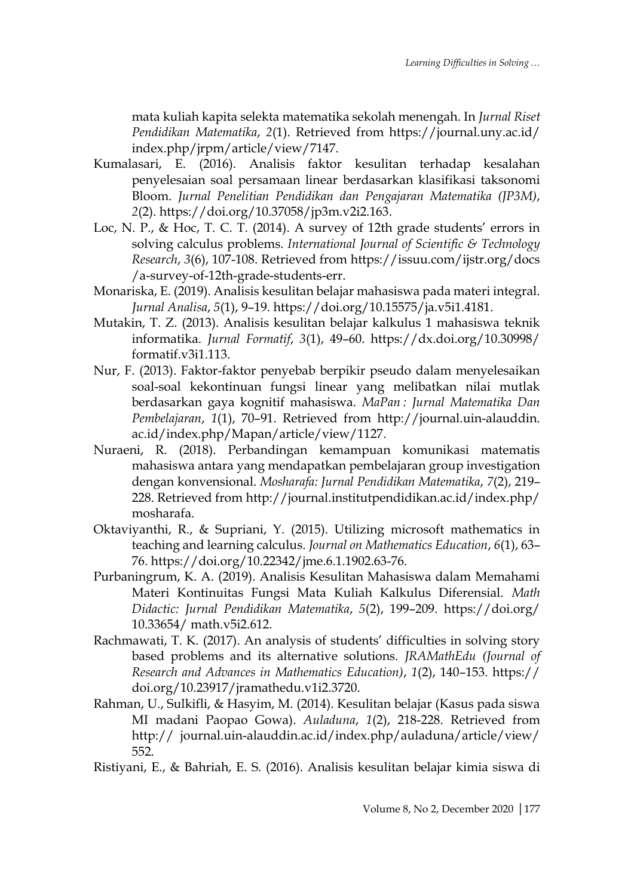mata kuliah kapita selekta matematika sekolah menengah. In *Jurnal Riset Pendidikan Matematika*, *2*(1). Retrieved from https://journal.uny.ac.id/ index.php/jrpm/article/view/7147.

- Kumalasari, E. (2016). Analisis faktor kesulitan terhadap kesalahan penyelesaian soal persamaan linear berdasarkan klasifikasi taksonomi Bloom. *Jurnal Penelitian Pendidikan dan Pengajaran Matematika (JP3M)*, *2*(2). https://doi.org/10.37058/jp3m.v2i2.163.
- Loc, N. P., & Hoc, T. C. T. (2014). A survey of 12th grade students' errors in solving calculus problems. *International Journal of Scientific & Technology Research*, *3*(6), 107-108. Retrieved from https://issuu.com/ijstr.org/docs /a-survey-of-12th-grade-students-err.
- Monariska, E. (2019). Analisis kesulitan belajar mahasiswa pada materi integral. *Jurnal Analisa*, *5*(1), 9–19. https://doi.org/10.15575/ja.v5i1.4181.
- Mutakin, T. Z. (2013). Analisis kesulitan belajar kalkulus 1 mahasiswa teknik informatika. *Jurnal Formatif*, *3*(1), 49–60. https://dx.doi.org/10.30998/ formatif.v3i1.113.
- Nur, F. (2013). Faktor-faktor penyebab berpikir pseudo dalam menyelesaikan soal-soal kekontinuan fungsi linear yang melibatkan nilai mutlak berdasarkan gaya kognitif mahasiswa. *MaPan : Jurnal Matematika Dan Pembelajaran*, *1*(1), 70–91. Retrieved from http://journal.uin-alauddin. ac.id/index.php/Mapan/article/view/1127.
- Nuraeni, R. (2018). Perbandingan kemampuan komunikasi matematis mahasiswa antara yang mendapatkan pembelajaran group investigation dengan konvensional. *Mosharafa: Jurnal Pendidikan Matematika*, *7*(2), 219– 228. Retrieved from http://journal.institutpendidikan.ac.id/index.php/ mosharafa.
- Oktaviyanthi, R., & Supriani, Y. (2015). Utilizing microsoft mathematics in teaching and learning calculus. *Journal on Mathematics Education*, *6*(1), 63– 76. https://doi.org/10.22342/jme.6.1.1902.63-76.
- Purbaningrum, K. A. (2019). Analisis Kesulitan Mahasiswa dalam Memahami Materi Kontinuitas Fungsi Mata Kuliah Kalkulus Diferensial. *Math Didactic: Jurnal Pendidikan Matematika*, *5*(2), 199–209. https://doi.org/ 10.33654/ math.v5i2.612.
- Rachmawati, T. K. (2017). An analysis of students' difficulties in solving story based problems and its alternative solutions. *JRAMathEdu (Journal of Research and Advances in Mathematics Education)*, *1*(2), 140–153. https:// doi.org/10.23917/jramathedu.v1i2.3720.
- Rahman, U., Sulkifli, & Hasyim, M. (2014). Kesulitan belajar (Kasus pada siswa MI madani Paopao Gowa). *Auladuna*, *1*(2), 218-228. Retrieved from http:// journal.uin-alauddin.ac.id/index.php/auladuna/article/view/ 552.
- Ristiyani, E., & Bahriah, E. S. (2016). Analisis kesulitan belajar kimia siswa di